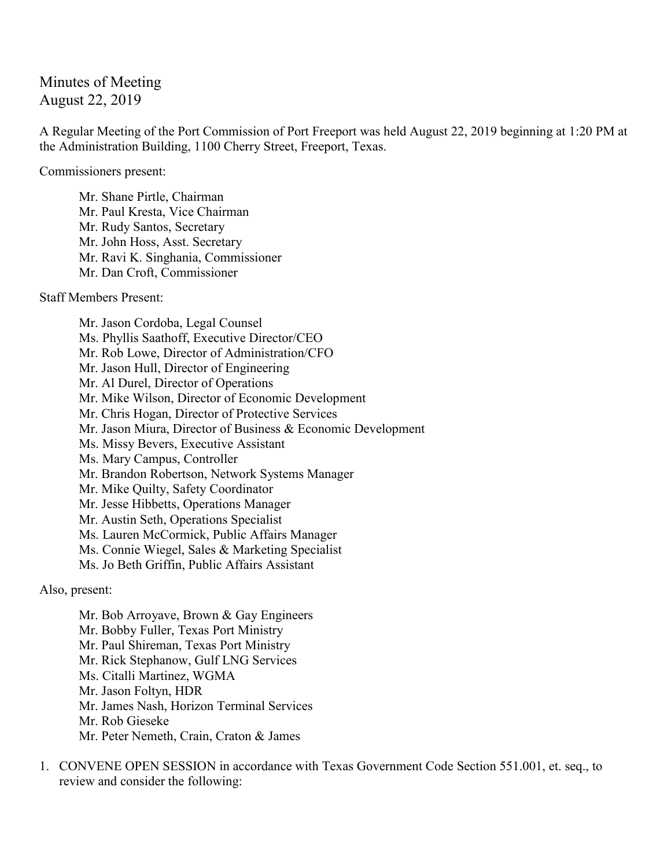## Minutes of Meeting August 22, 2019

A Regular Meeting of the Port Commission of Port Freeport was held August 22, 2019 beginning at 1:20 PM at the Administration Building, 1100 Cherry Street, Freeport, Texas.

Commissioners present:

Mr. Shane Pirtle, Chairman Mr. Paul Kresta, Vice Chairman Mr. Rudy Santos, Secretary Mr. John Hoss, Asst. Secretary Mr. Ravi K. Singhania, Commissioner Mr. Dan Croft, Commissioner

Staff Members Present:

Mr. Jason Cordoba, Legal Counsel Ms. Phyllis Saathoff, Executive Director/CEO Mr. Rob Lowe, Director of Administration/CFO Mr. Jason Hull, Director of Engineering Mr. Al Durel, Director of Operations Mr. Mike Wilson, Director of Economic Development Mr. Chris Hogan, Director of Protective Services Mr. Jason Miura, Director of Business & Economic Development Ms. Missy Bevers, Executive Assistant Ms. Mary Campus, Controller Mr. Brandon Robertson, Network Systems Manager Mr. Mike Quilty, Safety Coordinator Mr. Jesse Hibbetts, Operations Manager Mr. Austin Seth, Operations Specialist Ms. Lauren McCormick, Public Affairs Manager Ms. Connie Wiegel, Sales & Marketing Specialist Ms. Jo Beth Griffin, Public Affairs Assistant

Also, present:

Mr. Bob Arroyave, Brown & Gay Engineers Mr. Bobby Fuller, Texas Port Ministry Mr. Paul Shireman, Texas Port Ministry Mr. Rick Stephanow, Gulf LNG Services Ms. Citalli Martinez, WGMA Mr. Jason Foltyn, HDR Mr. James Nash, Horizon Terminal Services Mr. Rob Gieseke Mr. Peter Nemeth, Crain, Craton & James

1. CONVENE OPEN SESSION in accordance with Texas Government Code Section 551.001, et. seq., to review and consider the following: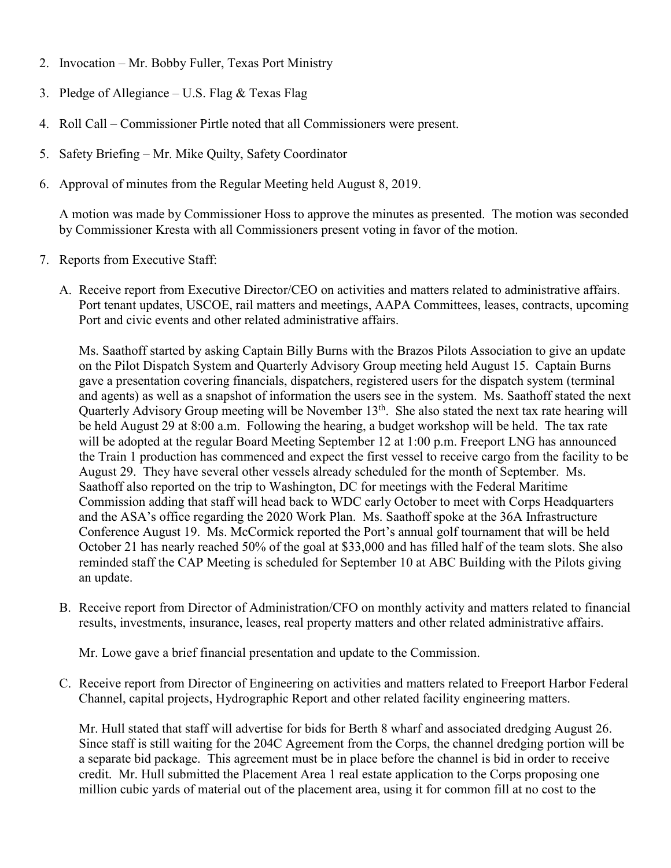- 2. Invocation Mr. Bobby Fuller, Texas Port Ministry
- 3. Pledge of Allegiance U.S. Flag  $&$  Texas Flag
- 4. Roll Call Commissioner Pirtle noted that all Commissioners were present.
- 5. Safety Briefing Mr. Mike Quilty, Safety Coordinator
- 6. Approval of minutes from the Regular Meeting held August 8, 2019.

A motion was made by Commissioner Hoss to approve the minutes as presented. The motion was seconded by Commissioner Kresta with all Commissioners present voting in favor of the motion.

- 7. Reports from Executive Staff:
	- A. Receive report from Executive Director/CEO on activities and matters related to administrative affairs. Port tenant updates, USCOE, rail matters and meetings, AAPA Committees, leases, contracts, upcoming Port and civic events and other related administrative affairs.

Ms. Saathoff started by asking Captain Billy Burns with the Brazos Pilots Association to give an update on the Pilot Dispatch System and Quarterly Advisory Group meeting held August 15. Captain Burns gave a presentation covering financials, dispatchers, registered users for the dispatch system (terminal and agents) as well as a snapshot of information the users see in the system. Ms. Saathoff stated the next Quarterly Advisory Group meeting will be November 13<sup>th</sup>. She also stated the next tax rate hearing will be held August 29 at 8:00 a.m. Following the hearing, a budget workshop will be held. The tax rate will be adopted at the regular Board Meeting September 12 at 1:00 p.m. Freeport LNG has announced the Train 1 production has commenced and expect the first vessel to receive cargo from the facility to be August 29. They have several other vessels already scheduled for the month of September. Ms. Saathoff also reported on the trip to Washington, DC for meetings with the Federal Maritime Commission adding that staff will head back to WDC early October to meet with Corps Headquarters and the ASA's office regarding the 2020 Work Plan. Ms. Saathoff spoke at the 36A Infrastructure Conference August 19. Ms. McCormick reported the Port's annual golf tournament that will be held October 21 has nearly reached 50% of the goal at \$33,000 and has filled half of the team slots. She also reminded staff the CAP Meeting is scheduled for September 10 at ABC Building with the Pilots giving an update.

B. Receive report from Director of Administration/CFO on monthly activity and matters related to financial results, investments, insurance, leases, real property matters and other related administrative affairs.

Mr. Lowe gave a brief financial presentation and update to the Commission.

C. Receive report from Director of Engineering on activities and matters related to Freeport Harbor Federal Channel, capital projects, Hydrographic Report and other related facility engineering matters.

Mr. Hull stated that staff will advertise for bids for Berth 8 wharf and associated dredging August 26. Since staff is still waiting for the 204C Agreement from the Corps, the channel dredging portion will be a separate bid package. This agreement must be in place before the channel is bid in order to receive credit. Mr. Hull submitted the Placement Area 1 real estate application to the Corps proposing one million cubic yards of material out of the placement area, using it for common fill at no cost to the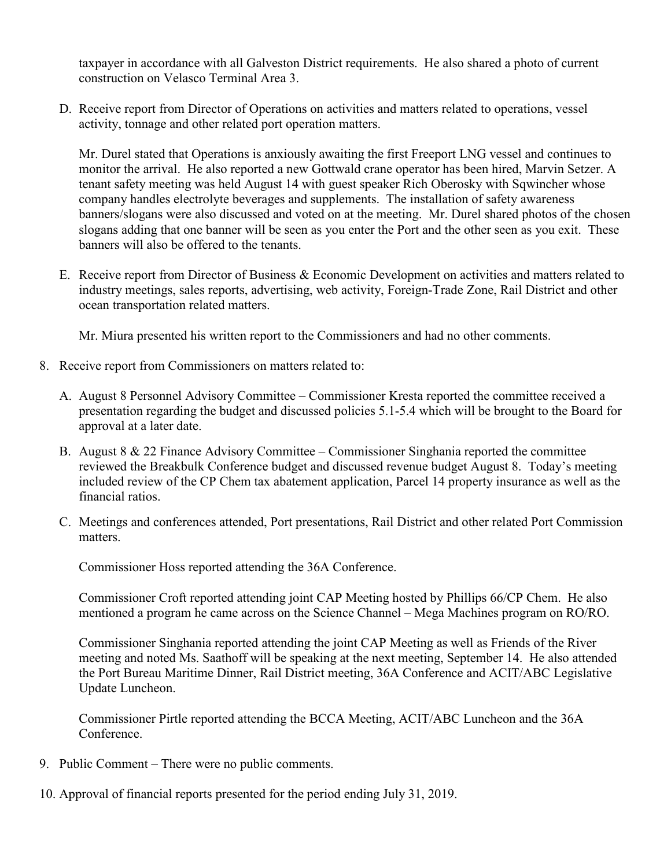taxpayer in accordance with all Galveston District requirements. He also shared a photo of current construction on Velasco Terminal Area 3.

D. Receive report from Director of Operations on activities and matters related to operations, vessel activity, tonnage and other related port operation matters.

Mr. Durel stated that Operations is anxiously awaiting the first Freeport LNG vessel and continues to monitor the arrival. He also reported a new Gottwald crane operator has been hired, Marvin Setzer. A tenant safety meeting was held August 14 with guest speaker Rich Oberosky with Sqwincher whose company handles electrolyte beverages and supplements. The installation of safety awareness banners/slogans were also discussed and voted on at the meeting. Mr. Durel shared photos of the chosen slogans adding that one banner will be seen as you enter the Port and the other seen as you exit. These banners will also be offered to the tenants.

E. Receive report from Director of Business & Economic Development on activities and matters related to industry meetings, sales reports, advertising, web activity, Foreign-Trade Zone, Rail District and other ocean transportation related matters.

Mr. Miura presented his written report to the Commissioners and had no other comments.

- 8. Receive report from Commissioners on matters related to:
	- A. August 8 Personnel Advisory Committee Commissioner Kresta reported the committee received a presentation regarding the budget and discussed policies 5.1-5.4 which will be brought to the Board for approval at a later date.
	- B. August 8 & 22 Finance Advisory Committee Commissioner Singhania reported the committee reviewed the Breakbulk Conference budget and discussed revenue budget August 8. Today's meeting included review of the CP Chem tax abatement application, Parcel 14 property insurance as well as the financial ratios.
	- C. Meetings and conferences attended, Port presentations, Rail District and other related Port Commission matters.

Commissioner Hoss reported attending the 36A Conference.

Commissioner Croft reported attending joint CAP Meeting hosted by Phillips 66/CP Chem. He also mentioned a program he came across on the Science Channel – Mega Machines program on RO/RO.

Commissioner Singhania reported attending the joint CAP Meeting as well as Friends of the River meeting and noted Ms. Saathoff will be speaking at the next meeting, September 14. He also attended the Port Bureau Maritime Dinner, Rail District meeting, 36A Conference and ACIT/ABC Legislative Update Luncheon.

Commissioner Pirtle reported attending the BCCA Meeting, ACIT/ABC Luncheon and the 36A Conference.

- 9. Public Comment There were no public comments.
- 10. Approval of financial reports presented for the period ending July 31, 2019.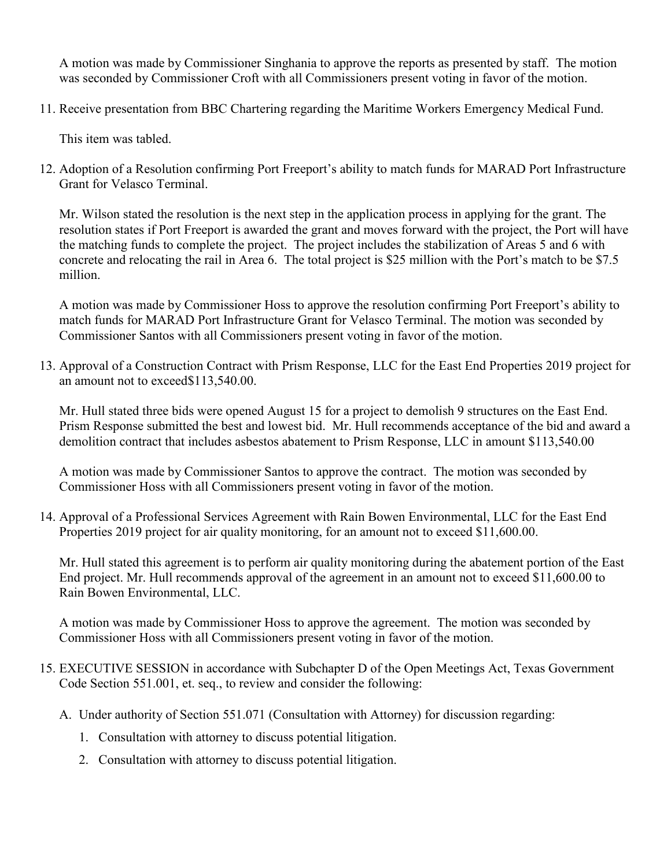A motion was made by Commissioner Singhania to approve the reports as presented by staff. The motion was seconded by Commissioner Croft with all Commissioners present voting in favor of the motion.

11. Receive presentation from BBC Chartering regarding the Maritime Workers Emergency Medical Fund.

This item was tabled.

12. Adoption of a Resolution confirming Port Freeport's ability to match funds for MARAD Port Infrastructure Grant for Velasco Terminal.

Mr. Wilson stated the resolution is the next step in the application process in applying for the grant. The resolution states if Port Freeport is awarded the grant and moves forward with the project, the Port will have the matching funds to complete the project. The project includes the stabilization of Areas 5 and 6 with concrete and relocating the rail in Area 6. The total project is \$25 million with the Port's match to be \$7.5 million.

A motion was made by Commissioner Hoss to approve the resolution confirming Port Freeport's ability to match funds for MARAD Port Infrastructure Grant for Velasco Terminal. The motion was seconded by Commissioner Santos with all Commissioners present voting in favor of the motion.

13. Approval of a Construction Contract with Prism Response, LLC for the East End Properties 2019 project for an amount not to exceed\$113,540.00.

Mr. Hull stated three bids were opened August 15 for a project to demolish 9 structures on the East End. Prism Response submitted the best and lowest bid. Mr. Hull recommends acceptance of the bid and award a demolition contract that includes asbestos abatement to Prism Response, LLC in amount \$113,540.00

A motion was made by Commissioner Santos to approve the contract. The motion was seconded by Commissioner Hoss with all Commissioners present voting in favor of the motion.

14. Approval of a Professional Services Agreement with Rain Bowen Environmental, LLC for the East End Properties 2019 project for air quality monitoring, for an amount not to exceed \$11,600.00.

Mr. Hull stated this agreement is to perform air quality monitoring during the abatement portion of the East End project. Mr. Hull recommends approval of the agreement in an amount not to exceed \$11,600.00 to Rain Bowen Environmental, LLC.

A motion was made by Commissioner Hoss to approve the agreement. The motion was seconded by Commissioner Hoss with all Commissioners present voting in favor of the motion.

- 15. EXECUTIVE SESSION in accordance with Subchapter D of the Open Meetings Act, Texas Government Code Section 551.001, et. seq., to review and consider the following:
	- A. Under authority of Section 551.071 (Consultation with Attorney) for discussion regarding:
		- 1. Consultation with attorney to discuss potential litigation.
		- 2. Consultation with attorney to discuss potential litigation.